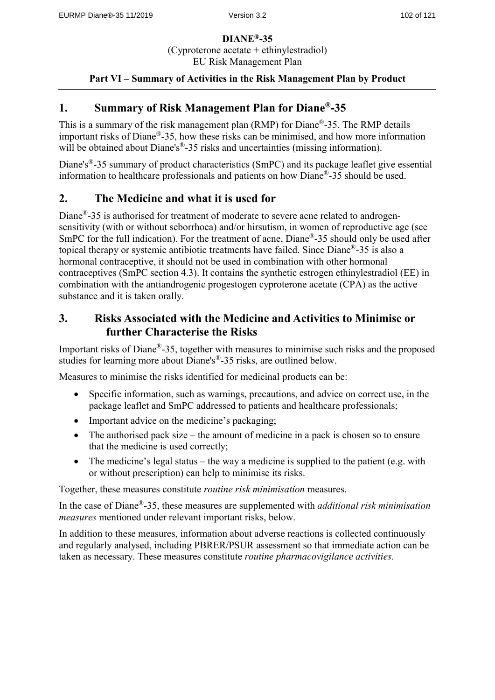**DIANE®-35** (Cyproterone acetate + ethinylestradiol) EU Risk Management Plan

## **Part VI – Summary of Activities in the Risk Management Plan by Product**

## **1. Summary of Risk Management Plan for Diane®-35**

This is a summary of the risk management plan (RMP) for Diane®-35. The RMP details important risks of Diane®-35, how these risks can be minimised, and how more information will be obtained about Diane's<sup>®</sup>-35 risks and uncertainties (missing information).

Diane's<sup>®</sup>-35 summary of product characteristics (SmPC) and its package leaflet give essential information to healthcare professionals and patients on how Diane®-35 should be used.

## **2. The Medicine and what it is used for**

Diane®-35 is authorised for treatment of moderate to severe acne related to androgensensitivity (with or without seborrhoea) and/or hirsutism, in women of reproductive age (see SmPC for the full indication). For the treatment of acne, Diane<sup>®</sup>-35 should only be used after topical therapy or systemic antibiotic treatments have failed. Since Diane®-35 is also a hormonal contraceptive, it should not be used in combination with other hormonal contraceptives (SmPC section 4.3). It contains the synthetic estrogen ethinylestradiol (EE) in combination with the antiandrogenic progestogen cyproterone acetate (CPA) as the active substance and it is taken orally.

# **3. Risks Associated with the Medicine and Activities to Minimise or further Characterise the Risks**

Important risks of Diane®-35, together with measures to minimise such risks and the proposed studies for learning more about Diane's<sup>®</sup>-35 risks, are outlined below.

Measures to minimise the risks identified for medicinal products can be:

- Specific information, such as warnings, precautions, and advice on correct use, in the package leaflet and SmPC addressed to patients and healthcare professionals;
- Important advice on the medicine's packaging;
- The authorised pack size the amount of medicine in a pack is chosen so to ensure that the medicine is used correctly;
- The medicine's legal status the way a medicine is supplied to the patient (e.g. with or without prescription) can help to minimise its risks.

Together, these measures constitute *routine risk minimisation* measures.

In the case of Diane®-35, these measures are supplemented with *additional risk minimisation measures* mentioned under relevant important risks, below.

In addition to these measures, information about adverse reactions is collected continuously and regularly analysed, including PBRER/PSUR assessment so that immediate action can be taken as necessary. These measures constitute *routine pharmacovigilance activities*.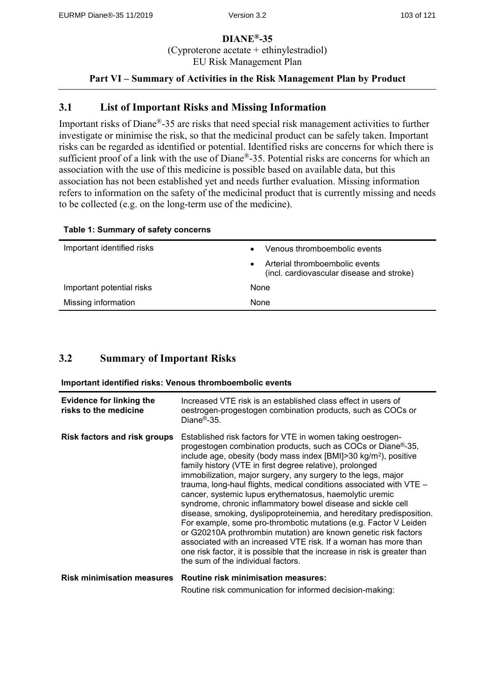### **DIANE®-35** (Cyproterone acetate + ethinylestradiol) EU Risk Management Plan

### **Part VI – Summary of Activities in the Risk Management Plan by Product**

## **3.1 List of Important Risks and Missing Information**

Important risks of Diane®-35 are risks that need special risk management activities to further investigate or minimise the risk, so that the medicinal product can be safely taken. Important risks can be regarded as identified or potential. Identified risks are concerns for which there is sufficient proof of a link with the use of Diane®-35. Potential risks are concerns for which an association with the use of this medicine is possible based on available data, but this association has not been established yet and needs further evaluation. Missing information refers to information on the safety of the medicinal product that is currently missing and needs to be collected (e.g. on the long-term use of the medicine).

| Important identified risks | Venous thromboembolic events                                                |
|----------------------------|-----------------------------------------------------------------------------|
|                            | Arterial thromboembolic events<br>(incl. cardiovascular disease and stroke) |
| Important potential risks  | None                                                                        |
| Missing information        | None                                                                        |

#### **Table 1: Summary of safety concerns**

### **3.2 Summary of Important Risks**

**Important identified risks: Venous thromboembolic events**

| Evidence for linking the<br>risks to the medicine | Increased VTE risk is an established class effect in users of<br>oestrogen-progestogen combination products, such as COCs or<br>Diane <sup>®</sup> -35.                                                                                                                                                                                                                                                                                                                                                                                                                                                                                                                                                                                                                                                                                                                                                                                         |
|---------------------------------------------------|-------------------------------------------------------------------------------------------------------------------------------------------------------------------------------------------------------------------------------------------------------------------------------------------------------------------------------------------------------------------------------------------------------------------------------------------------------------------------------------------------------------------------------------------------------------------------------------------------------------------------------------------------------------------------------------------------------------------------------------------------------------------------------------------------------------------------------------------------------------------------------------------------------------------------------------------------|
| <b>Risk factors and risk groups</b>               | Established risk factors for VTE in women taking oestrogen-<br>progestogen combination products, such as COCs or Diane®-35,<br>include age, obesity (body mass index [BMI]>30 kg/m <sup>2</sup> ), positive<br>family history (VTE in first degree relative), prolonged<br>immobilization, major surgery, any surgery to the legs, major<br>trauma, long-haul flights, medical conditions associated with VTE -<br>cancer, systemic lupus erythematosus, haemolytic uremic<br>syndrome, chronic inflammatory bowel disease and sickle cell<br>disease, smoking, dyslipoproteinemia, and hereditary predisposition.<br>For example, some pro-thrombotic mutations (e.g. Factor V Leiden<br>or G20210A prothrombin mutation) are known genetic risk factors<br>associated with an increased VTE risk. If a woman has more than<br>one risk factor, it is possible that the increase in risk is greater than<br>the sum of the individual factors. |
|                                                   | Risk minimisation measures Routine risk minimisation measures:                                                                                                                                                                                                                                                                                                                                                                                                                                                                                                                                                                                                                                                                                                                                                                                                                                                                                  |

Routine risk communication for informed decision-making: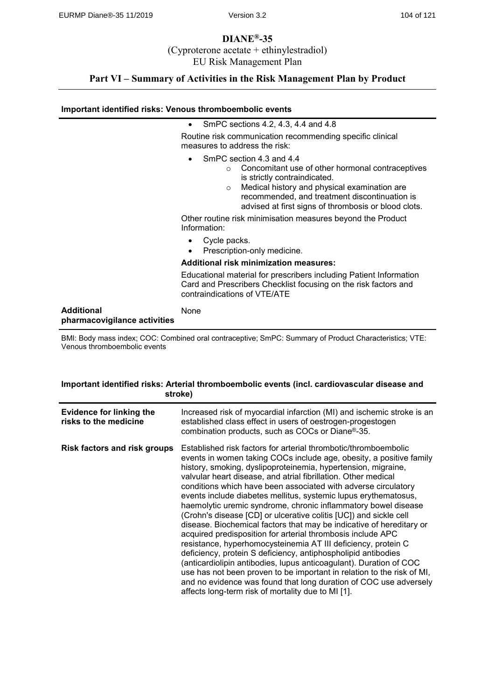### **DIANE®-35** (Cyproterone acetate + ethinylestradiol)

EU Risk Management Plan

## **Part VI – Summary of Activities in the Risk Management Plan by Product**

#### **Important identified risks: Venous thromboembolic events**

|                                                   | SmPC sections 4.2, 4.3, 4.4 and 4.8<br>$\bullet$                                                                                                                                                                                                                                            |
|---------------------------------------------------|---------------------------------------------------------------------------------------------------------------------------------------------------------------------------------------------------------------------------------------------------------------------------------------------|
|                                                   | Routine risk communication recommending specific clinical<br>measures to address the risk:                                                                                                                                                                                                  |
|                                                   | SmPC section 4.3 and 4.4<br>Concomitant use of other hormonal contraceptives<br>$\circ$<br>is strictly contraindicated.<br>Medical history and physical examination are<br>$\circ$<br>recommended, and treatment discontinuation is<br>advised at first signs of thrombosis or blood clots. |
|                                                   | Other routine risk minimisation measures beyond the Product<br>Information:                                                                                                                                                                                                                 |
|                                                   | Cycle packs.<br>Prescription-only medicine.<br>٠                                                                                                                                                                                                                                            |
|                                                   | <b>Additional risk minimization measures:</b>                                                                                                                                                                                                                                               |
|                                                   | Educational material for prescribers including Patient Information<br>Card and Prescribers Checklist focusing on the risk factors and<br>contraindications of VTE/ATE                                                                                                                       |
| <b>Additional</b><br>pharmacovigilance activities | None                                                                                                                                                                                                                                                                                        |

BMI: Body mass index; COC: Combined oral contraceptive; SmPC: Summary of Product Characteristics; VTE: Venous thromboembolic events

#### **Important identified risks: Arterial thromboembolic events (incl. cardiovascular disease and stroke)**

| <b>Evidence for linking the</b><br>risks to the medicine | Increased risk of myocardial infarction (MI) and ischemic stroke is an<br>established class effect in users of oestrogen-progestogen<br>combination products, such as COCs or Diane®-35.                                                                                                                                                                                                                                                                                                                                                                                                                                                                                                                                                                                                                                                                                                                                                                                                                                                                                                                  |
|----------------------------------------------------------|-----------------------------------------------------------------------------------------------------------------------------------------------------------------------------------------------------------------------------------------------------------------------------------------------------------------------------------------------------------------------------------------------------------------------------------------------------------------------------------------------------------------------------------------------------------------------------------------------------------------------------------------------------------------------------------------------------------------------------------------------------------------------------------------------------------------------------------------------------------------------------------------------------------------------------------------------------------------------------------------------------------------------------------------------------------------------------------------------------------|
| <b>Risk factors and risk groups</b>                      | Established risk factors for arterial thrombotic/thromboembolic<br>events in women taking COCs include age, obesity, a positive family<br>history, smoking, dyslipoproteinemia, hypertension, migraine,<br>valvular heart disease, and atrial fibrillation. Other medical<br>conditions which have been associated with adverse circulatory<br>events include diabetes mellitus, systemic lupus erythematosus,<br>haemolytic uremic syndrome, chronic inflammatory bowel disease<br>(Crohn's disease [CD] or ulcerative colitis [UC]) and sickle cell<br>disease. Biochemical factors that may be indicative of hereditary or<br>acquired predisposition for arterial thrombosis include APC<br>resistance, hyperhomocysteinemia AT III deficiency, protein C<br>deficiency, protein S deficiency, antiphospholipid antibodies<br>(anticardiolipin antibodies, lupus anticoagulant). Duration of COC<br>use has not been proven to be important in relation to the risk of MI,<br>and no evidence was found that long duration of COC use adversely<br>affects long-term risk of mortality due to MI [1]. |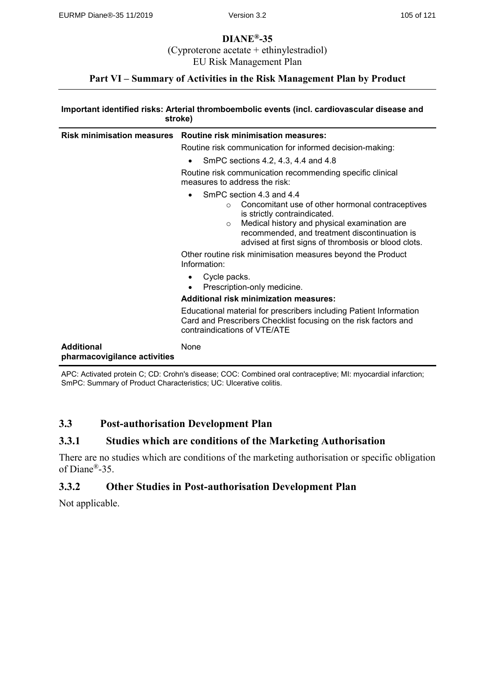### **DIANE®-35** (Cyproterone acetate + ethinylestradiol)

EU Risk Management Plan

## **Part VI – Summary of Activities in the Risk Management Plan by Product**

#### **Important identified risks: Arterial thromboembolic events (incl. cardiovascular disease and stroke)**

| <b>Risk minimisation measures</b>                 | <b>Routine risk minimisation measures:</b>                                                                                                                                                                                                                                                       |
|---------------------------------------------------|--------------------------------------------------------------------------------------------------------------------------------------------------------------------------------------------------------------------------------------------------------------------------------------------------|
|                                                   | Routine risk communication for informed decision-making:                                                                                                                                                                                                                                         |
|                                                   | SmPC sections 4.2, 4.3, 4.4 and 4.8<br>٠                                                                                                                                                                                                                                                         |
|                                                   | Routine risk communication recommending specific clinical<br>measures to address the risk:                                                                                                                                                                                                       |
|                                                   | SmPC section 4.3 and 4.4<br>٠<br>Concomitant use of other hormonal contraceptives<br>$\circ$<br>is strictly contraindicated.<br>Medical history and physical examination are<br>$\circ$<br>recommended, and treatment discontinuation is<br>advised at first signs of thrombosis or blood clots. |
|                                                   | Other routine risk minimisation measures beyond the Product<br>Information:                                                                                                                                                                                                                      |
|                                                   | Cycle packs.<br>Prescription-only medicine.<br>$\bullet$                                                                                                                                                                                                                                         |
|                                                   | <b>Additional risk minimization measures:</b>                                                                                                                                                                                                                                                    |
|                                                   | Educational material for prescribers including Patient Information<br>Card and Prescribers Checklist focusing on the risk factors and<br>contraindications of VTE/ATE                                                                                                                            |
| <b>Additional</b><br>pharmacovigilance activities | None                                                                                                                                                                                                                                                                                             |

APC: Activated protein C; CD: Crohn's disease; COC: Combined oral contraceptive; MI: myocardial infarction; SmPC: Summary of Product Characteristics; UC: Ulcerative colitis.

## **3.3 Post-authorisation Development Plan**

## **3.3.1 Studies which are conditions of the Marketing Authorisation**

There are no studies which are conditions of the marketing authorisation or specific obligation of Diane®-35.

## **3.3.2 Other Studies in Post-authorisation Development Plan**

Not applicable.